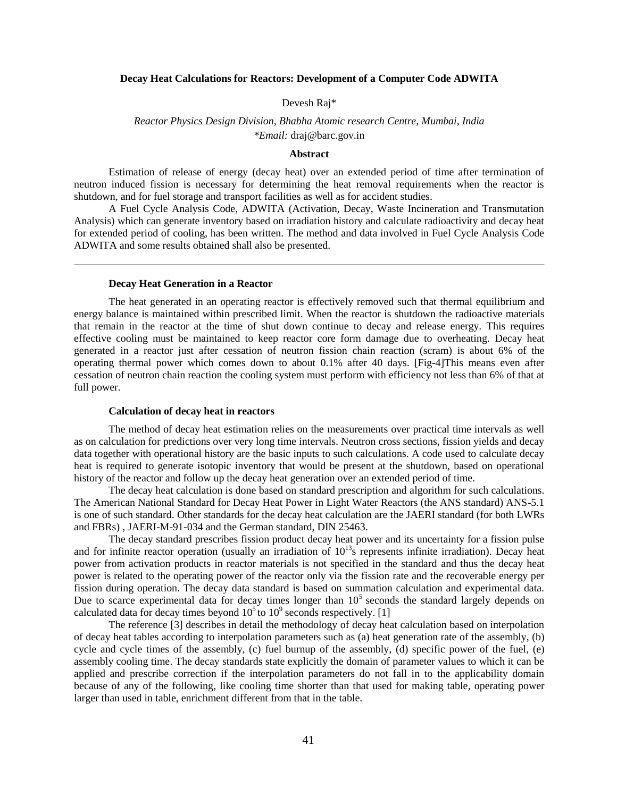## **Decay Heat Calculations for Reactors: Development of a Computer Code ADWITA**

### Devesh Raj\*

# *Reactor Physics Design Division, Bhabha Atomic research Centre, Mumbai, India \*Email:* draj@barc.gov.in

### **Abstract**

Estimation of release of energy (decay heat) over an extended period of time after termination of neutron induced fission is necessary for determining the heat removal requirements when the reactor is shutdown, and for fuel storage and transport facilities as well as for accident studies.

A Fuel Cycle Analysis Code, ADWITA (Activation, Decay, Waste Incineration and Transmutation Analysis) which can generate inventory based on irradiation history and calculate radioactivity and decay heat for extended period of cooling, has been written. The method and data involved in Fuel Cycle Analysis Code ADWITA and some results obtained shall also be presented.

### **Decay Heat Generation in a Reactor**

The heat generated in an operating reactor is effectively removed such that thermal equilibrium and energy balance is maintained within prescribed limit. When the reactor is shutdown the radioactive materials that remain in the reactor at the time of shut down continue to decay and release energy. This requires effective cooling must be maintained to keep reactor core form damage due to overheating. Decay heat generated in a reactor just after cessation of neutron fission chain reaction (scram) is about 6% of the operating thermal power which comes down to about 0.1% after 40 days. [Fig-4]This means even after cessation of neutron chain reaction the cooling system must perform with efficiency not less than 6% of that at full power.

#### **Calculation of decay heat in reactors**

The method of decay heat estimation relies on the measurements over practical time intervals as well as on calculation for predictions over very long time intervals. Neutron cross sections, fission yields and decay data together with operational history are the basic inputs to such calculations. A code used to calculate decay heat is required to generate isotopic inventory that would be present at the shutdown, based on operational history of the reactor and follow up the decay heat generation over an extended period of time.

The decay heat calculation is done based on standard prescription and algorithm for such calculations. The American National Standard for Decay Heat Power in Light Water Reactors (the ANS standard) ANS-5.1 is one of such standard. Other standards for the decay heat calculation are the JAERI standard (for both LWRs and FBRs) , JAERI-M-91-034 and the German standard, DIN 25463.

The decay standard prescribes fission product decay heat power and its uncertainty for a fission pulse and for infinite reactor operation (usually an irradiation of  $10^{13}$ s represents infinite irradiation). Decay heat power from activation products in reactor materials is not specified in the standard and thus the decay heat power is related to the operating power of the reactor only via the fission rate and the recoverable energy per fission during operation. The decay data standard is based on summation calculation and experimental data. Due to scarce experimental data for decay times longer than  $10<sup>5</sup>$  seconds the standard largely depends on calculated data for decay times beyond  $10^5$  to  $10^9$  seconds respectively. [1]

The reference [3] describes in detail the methodology of decay heat calculation based on interpolation of decay heat tables according to interpolation parameters such as (a) heat generation rate of the assembly, (b) cycle and cycle times of the assembly, (c) fuel burnup of the assembly, (d) specific power of the fuel, (e) assembly cooling time. The decay standards state explicitly the domain of parameter values to which it can be applied and prescribe correction if the interpolation parameters do not fall in to the applicability domain because of any of the following, like cooling time shorter than that used for making table, operating power larger than used in table, enrichment different from that in the table.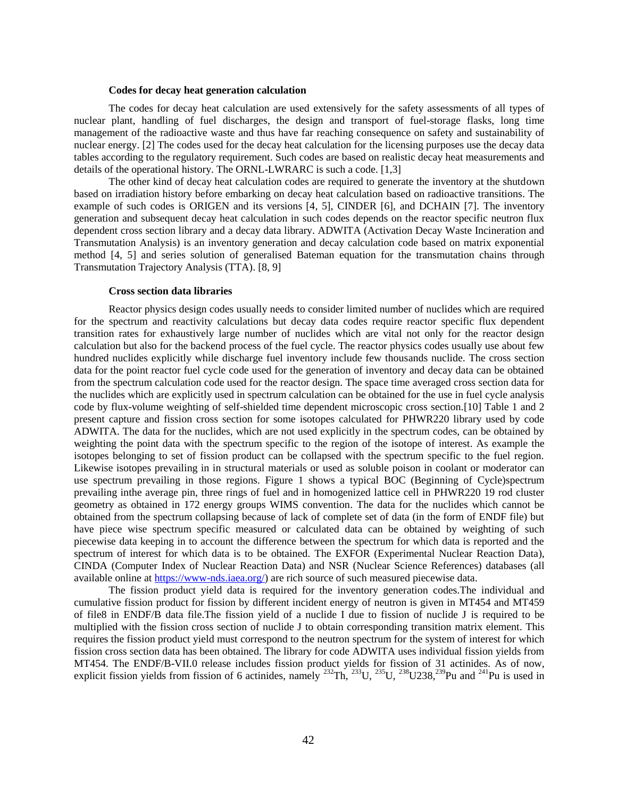#### **Codes for decay heat generation calculation**

The codes for decay heat calculation are used extensively for the safety assessments of all types of nuclear plant, handling of fuel discharges, the design and transport of fuel-storage flasks, long time management of the radioactive waste and thus have far reaching consequence on safety and sustainability of nuclear energy. [2] The codes used for the decay heat calculation for the licensing purposes use the decay data tables according to the regulatory requirement. Such codes are based on realistic decay heat measurements and details of the operational history. The ORNL-LWRARC is such a code. [1,3]

The other kind of decay heat calculation codes are required to generate the inventory at the shutdown based on irradiation history before embarking on decay heat calculation based on radioactive transitions. The example of such codes is ORIGEN and its versions [4, 5], CINDER [6], and DCHAIN [7]. The inventory generation and subsequent decay heat calculation in such codes depends on the reactor specific neutron flux dependent cross section library and a decay data library. ADWITA (Activation Decay Waste Incineration and Transmutation Analysis) is an inventory generation and decay calculation code based on matrix exponential method [4, 5] and series solution of generalised Bateman equation for the transmutation chains through Transmutation Trajectory Analysis (TTA). [8, 9]

### **Cross section data libraries**

Reactor physics design codes usually needs to consider limited number of nuclides which are required for the spectrum and reactivity calculations but decay data codes require reactor specific flux dependent transition rates for exhaustively large number of nuclides which are vital not only for the reactor design calculation but also for the backend process of the fuel cycle. The reactor physics codes usually use about few hundred nuclides explicitly while discharge fuel inventory include few thousands nuclide. The cross section data for the point reactor fuel cycle code used for the generation of inventory and decay data can be obtained from the spectrum calculation code used for the reactor design. The space time averaged cross section data for the nuclides which are explicitly used in spectrum calculation can be obtained for the use in fuel cycle analysis code by flux-volume weighting of self-shielded time dependent microscopic cross section.[10] Table 1 and 2 present capture and fission cross section for some isotopes calculated for PHWR220 library used by code ADWITA. The data for the nuclides, which are not used explicitly in the spectrum codes, can be obtained by weighting the point data with the spectrum specific to the region of the isotope of interest. As example the isotopes belonging to set of fission product can be collapsed with the spectrum specific to the fuel region. Likewise isotopes prevailing in in structural materials or used as soluble poison in coolant or moderator can use spectrum prevailing in those regions. Figure 1 shows a typical BOC (Beginning of Cycle)spectrum prevailing inthe average pin, three rings of fuel and in homogenized lattice cell in PHWR220 19 rod cluster geometry as obtained in 172 energy groups WIMS convention. The data for the nuclides which cannot be obtained from the spectrum collapsing because of lack of complete set of data (in the form of ENDF file) but have piece wise spectrum specific measured or calculated data can be obtained by weighting of such piecewise data keeping in to account the difference between the spectrum for which data is reported and the spectrum of interest for which data is to be obtained. The EXFOR (Experimental Nuclear Reaction Data), CINDA (Computer Index of Nuclear Reaction Data) and NSR (Nuclear Science References) databases (all available online at https://www-nds.iaea.org/) are rich source of such measured piecewise data.

The fission product yield data is required for the inventory generation codes.The individual and cumulative fission product for fission by different incident energy of neutron is given in MT454 and MT459 of file8 in ENDF/B data file.The fission yield of a nuclide I due to fission of nuclide J is required to be multiplied with the fission cross section of nuclide J to obtain corresponding transition matrix element. This requires the fission product yield must correspond to the neutron spectrum for the system of interest for which fission cross section data has been obtained. The library for code ADWITA uses individual fission yields from MT454. The ENDF/B-VII.0 release includes fission product yields for fission of 31 actinides. As of now, explicit fission yields from fission of 6 actinides, namely  $^{232}Th$ ,  $^{233}U$ ,  $^{235}U$ ,  $^{238}U$ 238,  $^{239}Pu$  and  $^{241}Pu$  is used in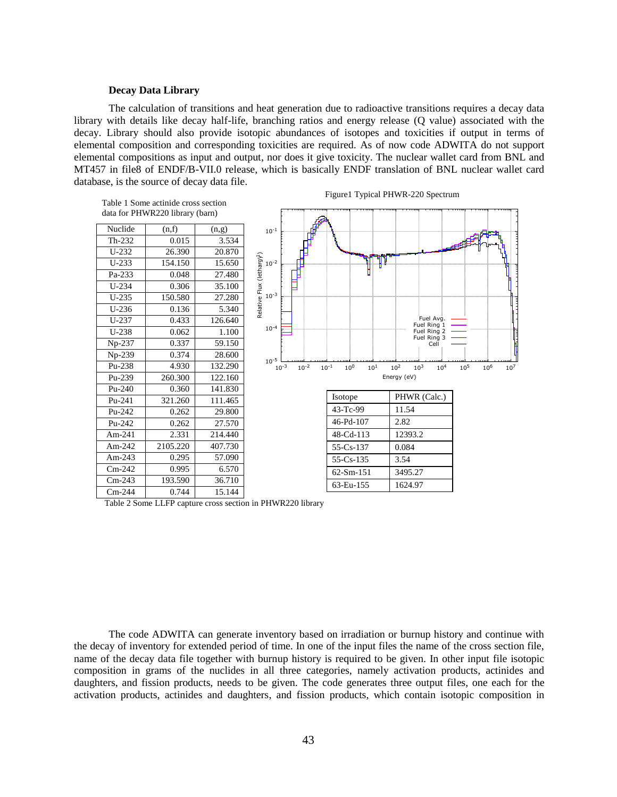### **Decay Data Library**

The calculation of transitions and heat generation due to radioactive transitions requires a decay data library with details like decay half-life, branching ratios and energy release (Q value) associated with the decay. Library should also provide isotopic abundances of isotopes and toxicities if output in terms of elemental composition and corresponding toxicities are required. As of now code ADWITA do not support elemental compositions as input and output, nor does it give toxicity. The nuclear wallet card from BNL and MT457 in file8 of ENDF/B-VII.0 release, which is basically ENDF translation of BNL nuclear wallet card database, is the source of decay data file.



Table 2 Some LLFP capture cross section in PHWR220 library

The code ADWITA can generate inventory based on irradiation or burnup history and continue with the decay of inventory for extended period of time. In one of the input files the name of the cross section file, name of the decay data file together with burnup history is required to be given. In other input file isotopic composition in grams of the nuclides in all three categories, namely activation products, actinides and daughters, and fission products, needs to be given. The code generates three output files, one each for the activation products, actinides and daughters, and fission products, which contain isotopic composition in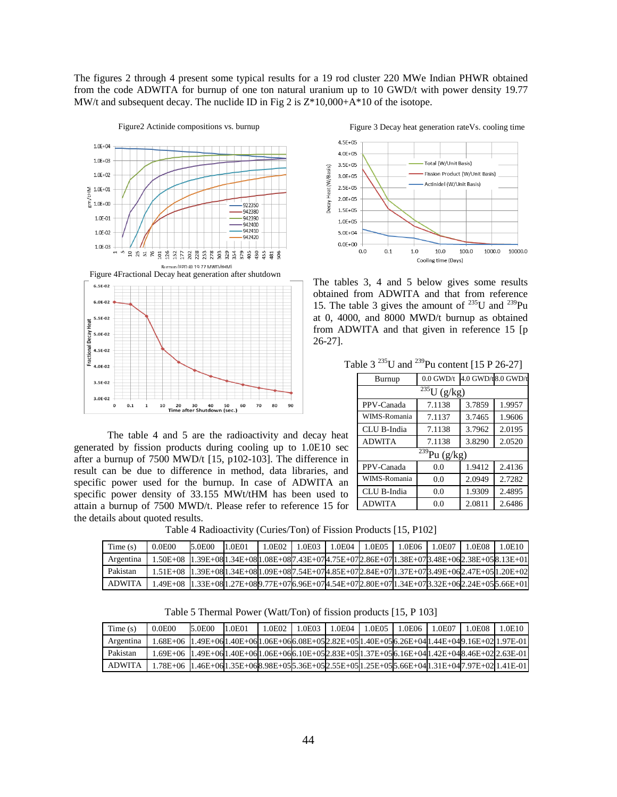The figures 2 through 4 present some typical results for a 19 rod cluster 220 MWe Indian PHWR obtained from the code ADWITA for burnup of one ton natural uranium up to 10 GWD/t with power density 19.77 MW/t and subsequent decay. The nuclide ID in Fig 2 is Z\*10,000+A\*10 of the isotope.



The table 4 and 5 are the radioactivity and decay heat generated by fission products during cooling up to 1.0E10 sec after a burnup of 7500 MWD/t [15, p102-103]. The difference in result can be due to difference in method, data libraries, and specific power used for the burnup. In case of ADWITA an specific power density of 33.155 MWt/tHM has been used to attain a burnup of 7500 MWD/t. Please refer to reference 15 for the details about quoted results.



The tables 3, 4 and 5 below gives some results obtained from ADWITA and that from reference 15. The table 3 gives the amount of  $^{235}$ U and  $^{239}$ Pu at 0, 4000, and 8000 MWD/t burnup as obtained from ADWITA and that given in reference 15 [p 26-27].

Table  $3^{235}$ U and  $^{239}$ Pu content [15 P 26-27]

| Burnup                      | $0.0$ GWD/t |                                                                                |                                                                              |  |  |  |  |  |  |
|-----------------------------|-------------|--------------------------------------------------------------------------------|------------------------------------------------------------------------------|--|--|--|--|--|--|
| $\frac{235}{235}U(g/kg)$    |             |                                                                                |                                                                              |  |  |  |  |  |  |
| PPV-Canada                  | 7.1138      | 4.0 GWD/t8.0 GWD/t<br>3.7859<br>3.7465<br>3.7962<br>3.8290<br>1.9412<br>2.0949 |                                                                              |  |  |  |  |  |  |
| WIMS-Romania                | 7.1137      |                                                                                | 1.9957<br>1.9606<br>2.0195<br>2.0520<br>2.4136<br>2.7282<br>2.4895<br>2.6486 |  |  |  |  |  |  |
| CLU B-India                 | 7.1138      |                                                                                |                                                                              |  |  |  |  |  |  |
| <b>ADWITA</b>               | 7.1138      |                                                                                |                                                                              |  |  |  |  |  |  |
| $\frac{239}{239}$ Pu (g/kg) |             |                                                                                |                                                                              |  |  |  |  |  |  |
| PPV-Canada                  | 0.0         |                                                                                |                                                                              |  |  |  |  |  |  |
| WIMS-Romania                | 0.0         |                                                                                |                                                                              |  |  |  |  |  |  |
| CLU B-India                 | 0.0         | 1.9309                                                                         |                                                                              |  |  |  |  |  |  |
| <b>ADWITA</b>               | 0.0         | 2.0811                                                                         |                                                                              |  |  |  |  |  |  |

Table 4 Radioactivity (Curies/Ton) of Fission Products [15, P102]

| Time(s)       | 0.0E00                                                                                              | 5.0E00 | 1.0E01 | .0E02 | .0E03 | .0E04 | 1.0E05 | .0E06 | 1.0E07 | .0E08 | .0E10 |
|---------------|-----------------------------------------------------------------------------------------------------|--------|--------|-------|-------|-------|--------|-------|--------|-------|-------|
| Argentina     | 1.50E+08 1.39E+081.34E+081.08E+087.43E+07l4.75E+07D.86E+07l1.38E+07B.48E+062.38E+058.13E+01         |        |        |       |       |       |        |       |        |       |       |
| Pakistan      | 1.51E+08 1.39E+08l1.34E+08l1.09E+08l7.54E+07l4.85E+07l2.84E+07l1.37E+07l3.49E+06l2.47E+05l1.20E+02  |        |        |       |       |       |        |       |        |       |       |
| <b>ADWITA</b> | 1.49E+08_l1.33E+08l1.27E+08l9.77E+07k.96E+07l4.54E+07l2.80E+07l1.34E+07l3.32E+06l2.24E+05l5.66E+01l |        |        |       |       |       |        |       |        |       |       |

Table 5 Thermal Power (Watt/Ton) of fission products [15, P 103]

| Time(s)       | 0.0E00                                                                                               | 5.0E00 | .0E01 | L0E02 | 1.0E03 | L.0E04 | .0E05 | 1.0E06 | 1.0E07 | L0E08 | 1.0E10 |
|---------------|------------------------------------------------------------------------------------------------------|--------|-------|-------|--------|--------|-------|--------|--------|-------|--------|
| Argentina     | 1.68E+06 1.49E+061.40E+061.06E+066.08E+052.82E+051.40E+056.26E+041.44E+049.16E+021.97E-01            |        |       |       |        |        |       |        |        |       |        |
| Pakistan      | 1.69E+06_1.49E+061.40E+061.06E+066.10E+052.83E+051.37E+056.16E+041.42E+048.46E+02l2.63E-01           |        |       |       |        |        |       |        |        |       |        |
| <b>ADWITA</b> | 1.78E+06_11.46E+06l1.35E+06l8.98E+05l5.36E+05l2.55E+05l1.25E+05l5.66E+04l1.31E+04l7.97E+02l1.41E-01. |        |       |       |        |        |       |        |        |       |        |